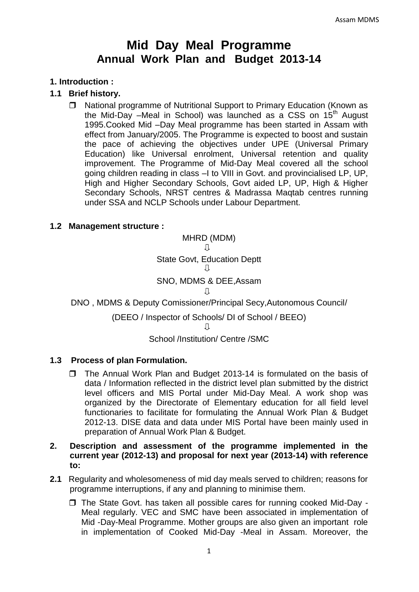# **Mid Day Meal Programme Annual Work Plan and Budget 2013-14**

## **1. Introduction :**

## **1.1 Brief history.**

□ National programme of Nutritional Support to Primary Education (Known as the Mid-Day –Meal in School) was launched as a CSS on  $15<sup>th</sup>$  August 1995.Cooked Mid –Day Meal programme has been started in Assam with effect from January/2005. The Programme is expected to boost and sustain the pace of achieving the objectives under UPE (Universal Primary Education) like Universal enrolment, Universal retention and quality improvement. The Programme of Mid-Day Meal covered all the school going children reading in class –I to VIII in Govt. and provincialised LP, UP, High and Higher Secondary Schools, Govt aided LP, UP, High & Higher Secondary Schools, NRST centres & Madrassa Maqtab centres running under SSA and NCLP Schools under Labour Department.

#### **1.2 Management structure :**

MHRD (MDM) Л State Govt, Education Deptt Л

## SNO, MDMS & DEE,Assam

Л

#### DNO , MDMS & Deputy Comissioner/Principal Secy,Autonomous Council/

(DEEO / Inspector of Schools/ DI of School / BEEO)

 $\Box$ 

#### School /Institution/ Centre /SMC

#### **1.3 Process of plan Formulation.**

 $\Box$  The Annual Work Plan and Budget 2013-14 is formulated on the basis of data / Information reflected in the district level plan submitted by the district level officers and MIS Portal under Mid-Day Meal. A work shop was organized by the Directorate of Elementary education for all field level functionaries to facilitate for formulating the Annual Work Plan & Budget 2012-13. DISE data and data under MIS Portal have been mainly used in preparation of Annual Work Plan & Budget.

## **2. Description and assessment of the programme implemented in the current year (2012-13) and proposal for next year (2013-14) with reference to:**

- **2.1** Regularity and wholesomeness of mid day meals served to children; reasons for programme interruptions, if any and planning to minimise them.
	- $\Box$  The State Govt. has taken all possible cares for running cooked Mid-Day -Meal regularly. VEC and SMC have been associated in implementation of Mid -Day-Meal Programme. Mother groups are also given an important role in implementation of Cooked Mid-Day -Meal in Assam. Moreover, the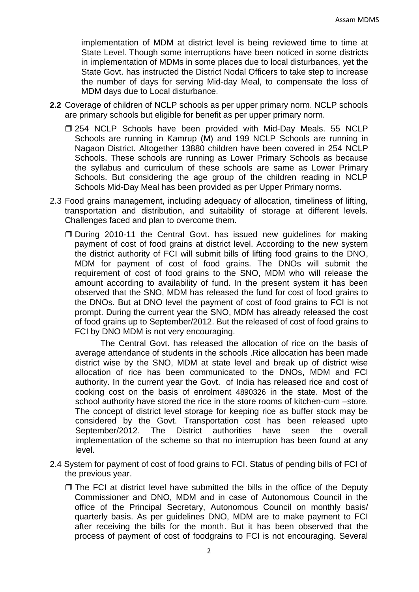implementation of MDM at district level is being reviewed time to time at State Level. Though some interruptions have been noticed in some districts in implementation of MDMs in some places due to local disturbances, yet the State Govt. has instructed the District Nodal Officers to take step to increase the number of days for serving Mid-day Meal, to compensate the loss of MDM days due to Local disturbance.

- **2.2** Coverage of children of NCLP schools as per upper primary norm. NCLP schools are primary schools but eligible for benefit as per upper primary norm.
	- □ 254 NCLP Schools have been provided with Mid-Day Meals. 55 NCLP Schools are running in Kamrup (M) and 199 NCLP Schools are running in Nagaon District. Altogether 13880 children have been covered in 254 NCLP Schools. These schools are running as Lower Primary Schools as because the syllabus and curriculum of these schools are same as Lower Primary Schools. But considering the age group of the children reading in NCLP Schools Mid-Day Meal has been provided as per Upper Primary norms.
- 2.3 Food grains management, including adequacy of allocation, timeliness of lifting, transportation and distribution, and suitability of storage at different levels. Challenges faced and plan to overcome them.
	- □ During 2010-11 the Central Govt. has issued new guidelines for making payment of cost of food grains at district level. According to the new system the district authority of FCI will submit bills of lifting food grains to the DNO, MDM for payment of cost of food grains. The DNOs will submit the requirement of cost of food grains to the SNO, MDM who will release the amount according to availability of fund. In the present system it has been observed that the SNO, MDM has released the fund for cost of food grains to the DNOs. But at DNO level the payment of cost of food grains to FCI is not prompt. During the current year the SNO, MDM has already released the cost of food grains up to September/2012. But the released of cost of food grains to FCI by DNO MDM is not very encouraging.

The Central Govt. has released the allocation of rice on the basis of average attendance of students in the schools .Rice allocation has been made district wise by the SNO, MDM at state level and break up of district wise allocation of rice has been communicated to the DNOs, MDM and FCI authority. In the current year the Govt. of India has released rice and cost of cooking cost on the basis of enrolment 4890326 in the state. Most of the school authority have stored the rice in the store rooms of kitchen-cum –store. The concept of district level storage for keeping rice as buffer stock may be considered by the Govt. Transportation cost has been released upto September/2012. The District authorities have seen the overall implementation of the scheme so that no interruption has been found at any level.

- 2.4 System for payment of cost of food grains to FCI. Status of pending bills of FCI of the previous year.
	- $\Box$  The FCI at district level have submitted the bills in the office of the Deputy Commissioner and DNO, MDM and in case of Autonomous Council in the office of the Principal Secretary, Autonomous Council on monthly basis/ quarterly basis. As per guidelines DNO, MDM are to make payment to FCI after receiving the bills for the month. But it has been observed that the process of payment of cost of foodgrains to FCI is not encouraging. Several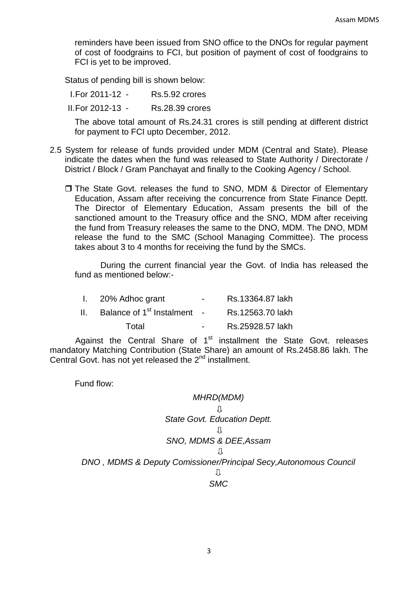reminders have been issued from SNO office to the DNOs for regular payment of cost of foodgrains to FCI, but position of payment of cost of foodgrains to FCI is yet to be improved.

Status of pending bill is shown below:

I.For 2011-12 - Rs.5.92 crores II.For 2012-13 - Rs.28.39 crores

The above total amount of Rs.24.31 crores is still pending at different district for payment to FCI upto December, 2012.

- 2.5 System for release of funds provided under MDM (Central and State). Please indicate the dates when the fund was released to State Authority / Directorate / District / Block / Gram Panchayat and finally to the Cooking Agency / School.
	- The State Govt. releases the fund to SNO, MDM & Director of Elementary Education, Assam after receiving the concurrence from State Finance Deptt. The Director of Elementary Education, Assam presents the bill of the sanctioned amount to the Treasury office and the SNO, MDM after receiving the fund from Treasury releases the same to the DNO, MDM. The DNO, MDM release the fund to the SMC (School Managing Committee). The process takes about 3 to 4 months for receiving the fund by the SMCs.

During the current financial year the Govt. of India has released the fund as mentioned below:-

| I. 20% Adhoc grant                | $\sim$        | Rs.13364.87 lakh |
|-----------------------------------|---------------|------------------|
| II. Balance of $1st$ Instalment - |               | Rs.12563.70 lakh |
| Total                             | $\sim$ $\sim$ | Rs.25928.57 lakh |

Against the Central Share of  $1<sup>st</sup>$  installment the State Govt. releases mandatory Matching Contribution (State Share) an amount of Rs.2458.86 lakh. The Central Govt. has not yet released the 2<sup>nd</sup> installment.

Fund flow:

*MHRD(MDM) State Govt. Education Deptt. SNO, MDMS & DEE,Assam DNO , MDMS & Deputy Comissioner/Principal Secy,Autonomous Council SMC*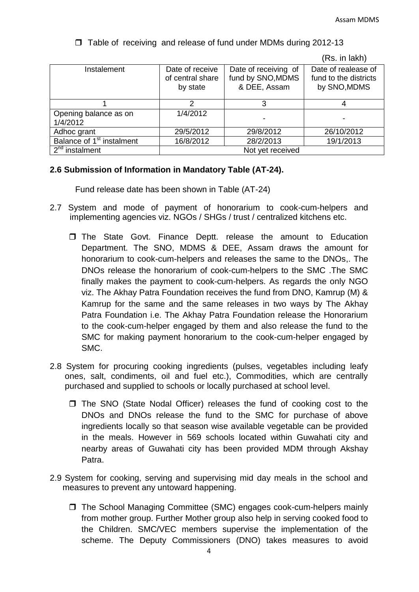| Instalement                           | Date of receive<br>of central share<br>by state | Date of receiving of<br>fund by SNO, MDMS<br>& DEE, Assam | Date of realease of<br>fund to the districts<br>by SNO, MDMS |  |
|---------------------------------------|-------------------------------------------------|-----------------------------------------------------------|--------------------------------------------------------------|--|
|                                       |                                                 |                                                           |                                                              |  |
| Opening balance as on<br>1/4/2012     | 1/4/2012                                        |                                                           |                                                              |  |
| Adhoc grant                           | 29/5/2012                                       | 29/8/2012                                                 | 26/10/2012                                                   |  |
| Balance of 1 <sup>st</sup> instalment | 16/8/2012                                       | 28/2/2013                                                 | 19/1/2013                                                    |  |
| $2nd$ instalment                      | Not yet received                                |                                                           |                                                              |  |

 $\Box$  Table of receiving and release of fund under MDMs during 2012-13

## (Rs. in lakh)

## **2.6 Submission of Information in Mandatory Table (AT-24).**

Fund release date has been shown in Table (AT-24)

- 2.7 System and mode of payment of honorarium to cook-cum-helpers and implementing agencies viz. NGOs / SHGs / trust / centralized kitchens etc.
	- The State Govt. Finance Deptt. release the amount to Education Department. The SNO, MDMS & DEE, Assam draws the amount for honorarium to cook-cum-helpers and releases the same to the DNOs,. The DNOs release the honorarium of cook-cum-helpers to the SMC .The SMC finally makes the payment to cook-cum-helpers. As regards the only NGO viz. The Akhay Patra Foundation receives the fund from DNO, Kamrup (M) & Kamrup for the same and the same releases in two ways by The Akhay Patra Foundation i.e. The Akhay Patra Foundation release the Honorarium to the cook-cum-helper engaged by them and also release the fund to the SMC for making payment honorarium to the cook-cum-helper engaged by SMC.
- 2.8 System for procuring cooking ingredients (pulses, vegetables including leafy ones, salt, condiments, oil and fuel etc.), Commodities, which are centrally purchased and supplied to schools or locally purchased at school level.
	- $\Box$  The SNO (State Nodal Officer) releases the fund of cooking cost to the DNOs and DNOs release the fund to the SMC for purchase of above ingredients locally so that season wise available vegetable can be provided in the meals. However in 569 schools located within Guwahati city and nearby areas of Guwahati city has been provided MDM through Akshay Patra.
- 2.9 System for cooking, serving and supervising mid day meals in the school and measures to prevent any untoward happening.
	- □ The School Managing Committee (SMC) engages cook-cum-helpers mainly from mother group. Further Mother group also help in serving cooked food to the Children. SMC/VEC members supervise the implementation of the scheme. The Deputy Commissioners (DNO) takes measures to avoid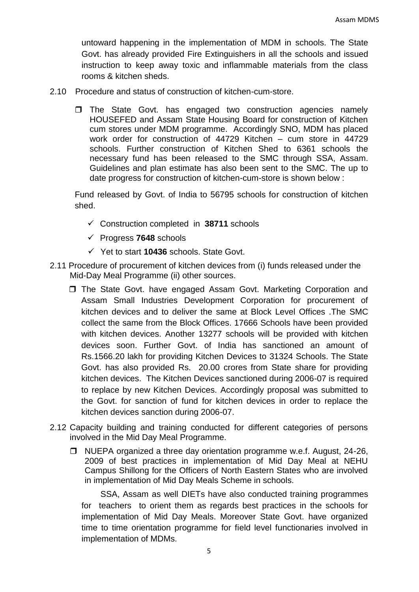untoward happening in the implementation of MDM in schools. The State Govt. has already provided Fire Extinguishers in all the schools and issued instruction to keep away toxic and inflammable materials from the class rooms & kitchen sheds.

- 2.10 Procedure and status of construction of kitchen-cum-store.
	- $\Box$  The State Govt. has engaged two construction agencies namely HOUSEFED and Assam State Housing Board for construction of Kitchen cum stores under MDM programme. Accordingly SNO, MDM has placed work order for construction of 44729 Kitchen – cum store in 44729 schools. Further construction of Kitchen Shed to 6361 schools the necessary fund has been released to the SMC through SSA, Assam. Guidelines and plan estimate has also been sent to the SMC. The up to date progress for construction of kitchen-cum-store is shown below :

Fund released by Govt. of India to 56795 schools for construction of kitchen shed.

- Construction completed in **38711** schools
- Progress **7648** schools
- Yet to start **10436** schools. State Govt.
- 2.11 Procedure of procurement of kitchen devices from (i) funds released under the Mid-Day Meal Programme (ii) other sources.
	- □ The State Govt. have engaged Assam Govt. Marketing Corporation and Assam Small Industries Development Corporation for procurement of kitchen devices and to deliver the same at Block Level Offices .The SMC collect the same from the Block Offices. 17666 Schools have been provided with kitchen devices. Another 13277 schools will be provided with kitchen devices soon. Further Govt. of India has sanctioned an amount of Rs.1566.20 lakh for providing Kitchen Devices to 31324 Schools. The State Govt. has also provided Rs. 20.00 crores from State share for providing kitchen devices. The Kitchen Devices sanctioned during 2006-07 is required to replace by new Kitchen Devices. Accordingly proposal was submitted to the Govt. for sanction of fund for kitchen devices in order to replace the kitchen devices sanction during 2006-07.
- 2.12 Capacity building and training conducted for different categories of persons involved in the Mid Day Meal Programme.
	- □ NUEPA organized a three day orientation programme w.e.f. August, 24-26, 2009 of best practices in implementation of Mid Day Meal at NEHU Campus Shillong for the Officers of North Eastern States who are involved in implementation of Mid Day Meals Scheme in schools.

SSA, Assam as well DIETs have also conducted training programmes for teachers to orient them as regards best practices in the schools for implementation of Mid Day Meals. Moreover State Govt. have organized time to time orientation programme for field level functionaries involved in implementation of MDMs.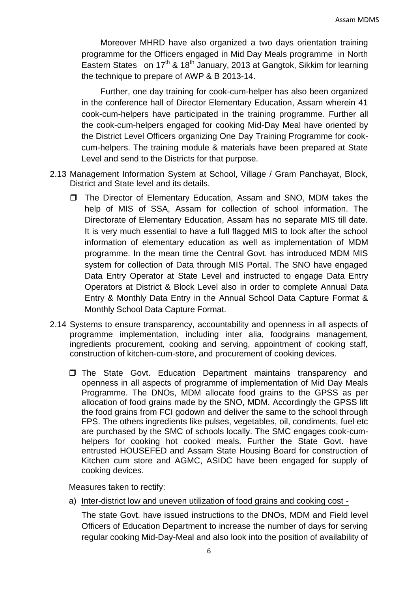Moreover MHRD have also organized a two days orientation training programme for the Officers engaged in Mid Day Meals programme in North Eastern States on  $17<sup>th</sup>$  &  $18<sup>th</sup>$  January, 2013 at Gangtok, Sikkim for learning the technique to prepare of AWP & B 2013-14.

Further, one day training for cook-cum-helper has also been organized in the conference hall of Director Elementary Education, Assam wherein 41 cook-cum-helpers have participated in the training programme. Further all the cook-cum-helpers engaged for cooking Mid-Day Meal have oriented by the District Level Officers organizing One Day Training Programme for cookcum-helpers. The training module & materials have been prepared at State Level and send to the Districts for that purpose.

- 2.13 Management Information System at School, Village / Gram Panchayat, Block, District and State level and its details.
	- □ The Director of Elementary Education, Assam and SNO, MDM takes the help of MIS of SSA, Assam for collection of school information. The Directorate of Elementary Education, Assam has no separate MIS till date. It is very much essential to have a full flagged MIS to look after the school information of elementary education as well as implementation of MDM programme. In the mean time the Central Govt. has introduced MDM MIS system for collection of Data through MIS Portal. The SNO have engaged Data Entry Operator at State Level and instructed to engage Data Entry Operators at District & Block Level also in order to complete Annual Data Entry & Monthly Data Entry in the Annual School Data Capture Format & Monthly School Data Capture Format.
- 2.14 Systems to ensure transparency, accountability and openness in all aspects of programme implementation, including inter alia, foodgrains management, ingredients procurement, cooking and serving, appointment of cooking staff, construction of kitchen-cum-store, and procurement of cooking devices.
	- The State Govt. Education Department maintains transparency and openness in all aspects of programme of implementation of Mid Day Meals Programme. The DNOs, MDM allocate food grains to the GPSS as per allocation of food grains made by the SNO, MDM. Accordingly the GPSS lift the food grains from FCI godown and deliver the same to the school through FPS. The others ingredients like pulses, vegetables, oil, condiments, fuel etc are purchased by the SMC of schools locally. The SMC engages cook-cumhelpers for cooking hot cooked meals. Further the State Govt. have entrusted HOUSEFED and Assam State Housing Board for construction of Kitchen cum store and AGMC, ASIDC have been engaged for supply of cooking devices.

Measures taken to rectify:

a) Inter-district low and uneven utilization of food grains and cooking cost -

The state Govt. have issued instructions to the DNOs, MDM and Field level Officers of Education Department to increase the number of days for serving regular cooking Mid-Day-Meal and also look into the position of availability of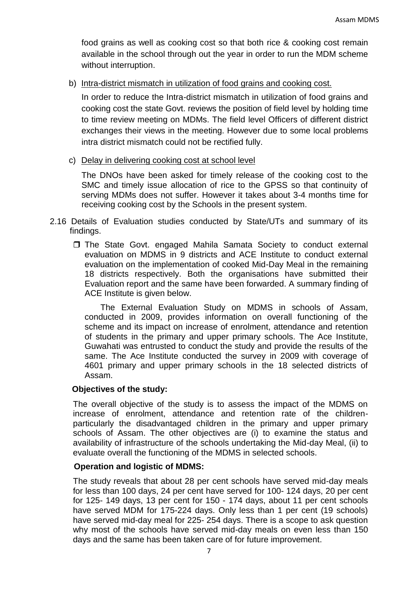food grains as well as cooking cost so that both rice & cooking cost remain available in the school through out the year in order to run the MDM scheme without interruption.

b) Intra-district mismatch in utilization of food grains and cooking cost.

In order to reduce the Intra-district mismatch in utilization of food grains and cooking cost the state Govt. reviews the position of field level by holding time to time review meeting on MDMs. The field level Officers of different district exchanges their views in the meeting. However due to some local problems intra district mismatch could not be rectified fully.

c) Delay in delivering cooking cost at school level

The DNOs have been asked for timely release of the cooking cost to the SMC and timely issue allocation of rice to the GPSS so that continuity of serving MDMs does not suffer. However it takes about 3-4 months time for receiving cooking cost by the Schools in the present system.

- 2.16 Details of Evaluation studies conducted by State/UTs and summary of its findings.
	- The State Govt. engaged Mahila Samata Society to conduct external evaluation on MDMS in 9 districts and ACE Institute to conduct external evaluation on the implementation of cooked Mid-Day Meal in the remaining 18 districts respectively. Both the organisations have submitted their Evaluation report and the same have been forwarded. A summary finding of ACE Institute is given below.

The External Evaluation Study on MDMS in schools of Assam, conducted in 2009, provides information on overall functioning of the scheme and its impact on increase of enrolment, attendance and retention of students in the primary and upper primary schools. The Ace Institute, Guwahati was entrusted to conduct the study and provide the results of the same. The Ace Institute conducted the survey in 2009 with coverage of 4601 primary and upper primary schools in the 18 selected districts of Assam.

## **Objectives of the study:**

The overall objective of the study is to assess the impact of the MDMS on increase of enrolment, attendance and retention rate of the childrenparticularly the disadvantaged children in the primary and upper primary schools of Assam. The other objectives are (i) to examine the status and availability of infrastructure of the schools undertaking the Mid-day Meal, (ii) to evaluate overall the functioning of the MDMS in selected schools.

#### **Operation and logistic of MDMS:**

The study reveals that about 28 per cent schools have served mid-day meals for less than 100 days, 24 per cent have served for 100- 124 days, 20 per cent for 125- 149 days, 13 per cent for 150 - 174 days, about 11 per cent schools have served MDM for 175-224 days. Only less than 1 per cent (19 schools) have served mid-day meal for 225- 254 days. There is a scope to ask question why most of the schools have served mid-day meals on even less than 150 days and the same has been taken care of for future improvement.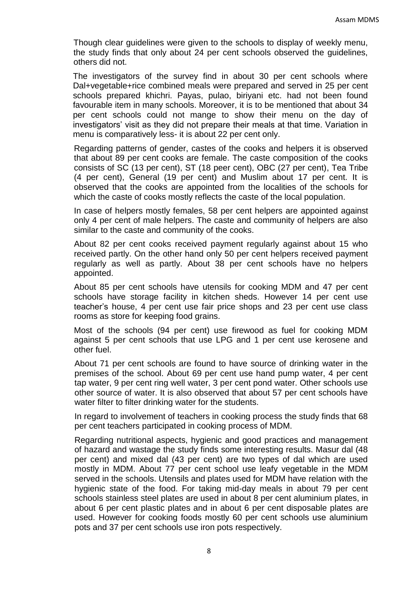Though clear guidelines were given to the schools to display of weekly menu, the study finds that only about 24 per cent schools observed the guidelines, others did not.

The investigators of the survey find in about 30 per cent schools where Dal+vegetable+rice combined meals were prepared and served in 25 per cent schools prepared khichri. Payas, pulao, biriyani etc. had not been found favourable item in many schools. Moreover, it is to be mentioned that about 34 per cent schools could not mange to show their menu on the day of investigators' visit as they did not prepare their meals at that time. Variation in menu is comparatively less- it is about 22 per cent only.

Regarding patterns of gender, castes of the cooks and helpers it is observed that about 89 per cent cooks are female. The caste composition of the cooks consists of SC (13 per cent), ST (18 peer cent), OBC (27 per cent), Tea Tribe (4 per cent), General (19 per cent) and Muslim about 17 per cent. It is observed that the cooks are appointed from the localities of the schools for which the caste of cooks mostly reflects the caste of the local population.

In case of helpers mostly females, 58 per cent helpers are appointed against only 4 per cent of male helpers. The caste and community of helpers are also similar to the caste and community of the cooks.

About 82 per cent cooks received payment regularly against about 15 who received partly. On the other hand only 50 per cent helpers received payment regularly as well as partly. About 38 per cent schools have no helpers appointed.

About 85 per cent schools have utensils for cooking MDM and 47 per cent schools have storage facility in kitchen sheds. However 14 per cent use teacher's house, 4 per cent use fair price shops and 23 per cent use class rooms as store for keeping food grains.

Most of the schools (94 per cent) use firewood as fuel for cooking MDM against 5 per cent schools that use LPG and 1 per cent use kerosene and other fuel.

About 71 per cent schools are found to have source of drinking water in the premises of the school. About 69 per cent use hand pump water, 4 per cent tap water, 9 per cent ring well water, 3 per cent pond water. Other schools use other source of water. It is also observed that about 57 per cent schools have water filter to filter drinking water for the students.

In regard to involvement of teachers in cooking process the study finds that 68 per cent teachers participated in cooking process of MDM.

Regarding nutritional aspects, hygienic and good practices and management of hazard and wastage the study finds some interesting results. Masur dal (48 per cent) and mixed dal (43 per cent) are two types of dal which are used mostly in MDM. About 77 per cent school use leafy vegetable in the MDM served in the schools. Utensils and plates used for MDM have relation with the hygienic state of the food. For taking mid-day meals in about 79 per cent schools stainless steel plates are used in about 8 per cent aluminium plates, in about 6 per cent plastic plates and in about 6 per cent disposable plates are used. However for cooking foods mostly 60 per cent schools use aluminium pots and 37 per cent schools use iron pots respectively.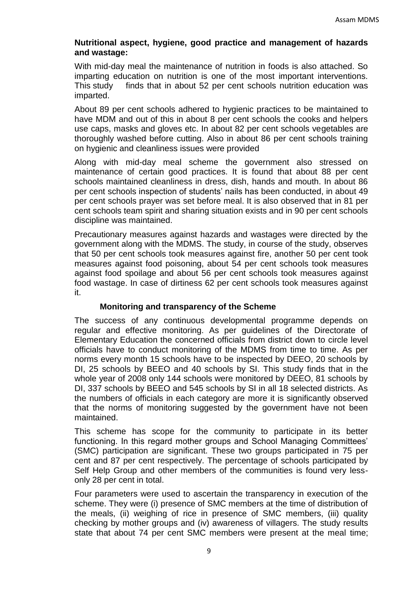## **Nutritional aspect, hygiene, good practice and management of hazards and wastage:**

With mid-day meal the maintenance of nutrition in foods is also attached. So imparting education on nutrition is one of the most important interventions. This study finds that in about 52 per cent schools nutrition education was imparted.

About 89 per cent schools adhered to hygienic practices to be maintained to have MDM and out of this in about 8 per cent schools the cooks and helpers use caps, masks and gloves etc. In about 82 per cent schools vegetables are thoroughly washed before cutting. Also in about 86 per cent schools training on hygienic and cleanliness issues were provided

Along with mid-day meal scheme the government also stressed on maintenance of certain good practices. It is found that about 88 per cent schools maintained cleanliness in dress, dish, hands and mouth. In about 86 per cent schools inspection of students' nails has been conducted, in about 49 per cent schools prayer was set before meal. It is also observed that in 81 per cent schools team spirit and sharing situation exists and in 90 per cent schools discipline was maintained.

Precautionary measures against hazards and wastages were directed by the government along with the MDMS. The study, in course of the study, observes that 50 per cent schools took measures against fire, another 50 per cent took measures against food poisoning, about 54 per cent schools took measures against food spoilage and about 56 per cent schools took measures against food wastage. In case of dirtiness 62 per cent schools took measures against it.

## **Monitoring and transparency of the Scheme**

The success of any continuous developmental programme depends on regular and effective monitoring. As per guidelines of the Directorate of Elementary Education the concerned officials from district down to circle level officials have to conduct monitoring of the MDMS from time to time. As per norms every month 15 schools have to be inspected by DEEO, 20 schools by DI, 25 schools by BEEO and 40 schools by SI. This study finds that in the whole year of 2008 only 144 schools were monitored by DEEO, 81 schools by DI, 337 schools by BEEO and 545 schools by SI in all 18 selected districts. As the numbers of officials in each category are more it is significantly observed that the norms of monitoring suggested by the government have not been maintained.

This scheme has scope for the community to participate in its better functioning. In this regard mother groups and School Managing Committees' (SMC) participation are significant. These two groups participated in 75 per cent and 87 per cent respectively. The percentage of schools participated by Self Help Group and other members of the communities is found very lessonly 28 per cent in total.

Four parameters were used to ascertain the transparency in execution of the scheme. They were (i) presence of SMC members at the time of distribution of the meals, (ii) weighing of rice in presence of SMC members, (iii) quality checking by mother groups and (iv) awareness of villagers. The study results state that about 74 per cent SMC members were present at the meal time;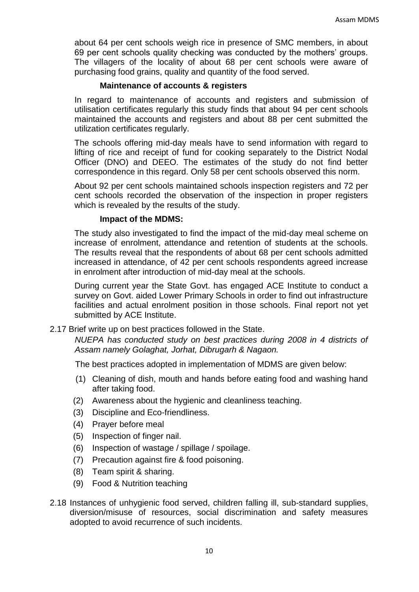about 64 per cent schools weigh rice in presence of SMC members, in about 69 per cent schools quality checking was conducted by the mothers' groups. The villagers of the locality of about 68 per cent schools were aware of purchasing food grains, quality and quantity of the food served.

## **Maintenance of accounts & registers**

In regard to maintenance of accounts and registers and submission of utilisation certificates regularly this study finds that about 94 per cent schools maintained the accounts and registers and about 88 per cent submitted the utilization certificates regularly.

The schools offering mid-day meals have to send information with regard to lifting of rice and receipt of fund for cooking separately to the District Nodal Officer (DNO) and DEEO. The estimates of the study do not find better correspondence in this regard. Only 58 per cent schools observed this norm.

About 92 per cent schools maintained schools inspection registers and 72 per cent schools recorded the observation of the inspection in proper registers which is revealed by the results of the study.

## **Impact of the MDMS:**

The study also investigated to find the impact of the mid-day meal scheme on increase of enrolment, attendance and retention of students at the schools. The results reveal that the respondents of about 68 per cent schools admitted increased in attendance, of 42 per cent schools respondents agreed increase in enrolment after introduction of mid-day meal at the schools.

During current year the State Govt. has engaged ACE Institute to conduct a survey on Govt. aided Lower Primary Schools in order to find out infrastructure facilities and actual enrolment position in those schools. Final report not yet submitted by ACE Institute.

## 2.17 Brief write up on best practices followed in the State.

*NUEPA has conducted study on best practices during 2008 in 4 districts of Assam namely Golaghat, Jorhat, Dibrugarh & Nagaon.*

The best practices adopted in implementation of MDMS are given below:

- (1) Cleaning of dish, mouth and hands before eating food and washing hand after taking food.
- (2) Awareness about the hygienic and cleanliness teaching.
- (3) Discipline and Eco-friendliness.
- (4) Prayer before meal
- (5) Inspection of finger nail.
- (6) Inspection of wastage / spillage / spoilage.
- (7) Precaution against fire & food poisoning.
- (8) Team spirit & sharing.
- (9) Food & Nutrition teaching
- 2.18 Instances of unhygienic food served, children falling ill, sub-standard supplies, diversion/misuse of resources, social discrimination and safety measures adopted to avoid recurrence of such incidents.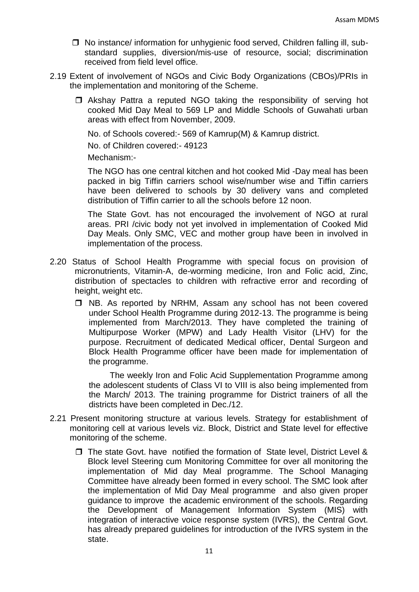- $\Box$  No instance/ information for unhygienic food served, Children falling ill, substandard supplies, diversion/mis-use of resource, social; discrimination received from field level office.
- 2.19 Extent of involvement of NGOs and Civic Body Organizations (CBOs)/PRIs in the implementation and monitoring of the Scheme.
	- $\Box$  Akshay Pattra a reputed NGO taking the responsibility of serving hot cooked Mid Day Meal to 569 LP and Middle Schools of Guwahati urban areas with effect from November, 2009.

No. of Schools covered:- 569 of Kamrup(M) & Kamrup district.

No. of Children covered:- 49123

Mechanism:-

The NGO has one central kitchen and hot cooked Mid -Day meal has been packed in big Tiffin carriers school wise/number wise and Tiffin carriers have been delivered to schools by 30 delivery vans and completed distribution of Tiffin carrier to all the schools before 12 noon.

The State Govt. has not encouraged the involvement of NGO at rural areas. PRI /civic body not yet involved in implementation of Cooked Mid Day Meals. Only SMC, VEC and mother group have been in involved in implementation of the process.

- 2.20 Status of School Health Programme with special focus on provision of micronutrients, Vitamin-A, de-worming medicine, Iron and Folic acid, Zinc, distribution of spectacles to children with refractive error and recording of height, weight etc.
	- □ NB. As reported by NRHM, Assam any school has not been covered under School Health Programme during 2012-13. The programme is being implemented from March/2013. They have completed the training of Multipurpose Worker (MPW) and Lady Health Visitor (LHV) for the purpose. Recruitment of dedicated Medical officer, Dental Surgeon and Block Health Programme officer have been made for implementation of the programme.

 The weekly Iron and Folic Acid Supplementation Programme among the adolescent students of Class VI to VIII is also being implemented from the March/ 2013. The training programme for District trainers of all the districts have been completed in Dec./12.

- 2.21 Present monitoring structure at various levels. Strategy for establishment of monitoring cell at various levels viz. Block, District and State level for effective monitoring of the scheme.
	- □ The state Govt. have notified the formation of State level, District Level & Block level Steering cum Monitoring Committee for over all monitoring the implementation of Mid day Meal programme. The School Managing Committee have already been formed in every school. The SMC look after the implementation of Mid Day Meal programme and also given proper guidance to improve the academic environment of the schools. Regarding the Development of Management Information System (MIS) with integration of interactive voice response system (IVRS), the Central Govt. has already prepared guidelines for introduction of the IVRS system in the state.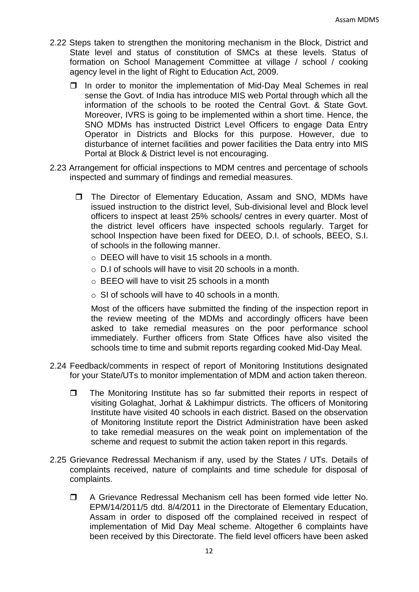- 2.22 Steps taken to strengthen the monitoring mechanism in the Block, District and State level and status of constitution of SMCs at these levels. Status of formation on School Management Committee at village / school / cooking agency level in the light of Right to Education Act, 2009.
	- $\Box$  In order to monitor the implementation of Mid-Day Meal Schemes in real sense the Govt. of India has introduce MIS web Portal through which all the information of the schools to be rooted the Central Govt. & State Govt. Moreover, IVRS is going to be implemented within a short time. Hence, the SNO MDMs has instructed District Level Officers to engage Data Entry Operator in Districts and Blocks for this purpose. However, due to disturbance of internet facilities and power facilities the Data entry into MIS Portal at Block & District level is not encouraging.
- 2.23 Arrangement for official inspections to MDM centres and percentage of schools inspected and summary of findings and remedial measures.
	- □ The Director of Elementary Education, Assam and SNO, MDMs have issued instruction to the district level, Sub-divisional level and Block level officers to inspect at least 25% schools/ centres in every quarter. Most of the district level officers have inspected schools regularly. Target for school Inspection have been fixed for DEEO, D.I. of schools, BEEO, S.I. of schools in the following manner.
		- o DEEO will have to visit 15 schools in a month.
		- o D.I of schools will have to visit 20 schools in a month.
		- o BEEO will have to visit 25 schools in a month
		- o SI of schools will have to 40 schools in a month.

Most of the officers have submitted the finding of the inspection report in the review meeting of the MDMs and accordingly officers have been asked to take remedial measures on the poor performance school immediately. Further officers from State Offices have also visited the schools time to time and submit reports regarding cooked Mid-Day Meal.

- 2.24 Feedback/comments in respect of report of Monitoring Institutions designated for your State/UTs to monitor implementation of MDM and action taken thereon.
	- $\Box$  The Monitoring Institute has so far submitted their reports in respect of visiting Golaghat, Jorhat & Lakhimpur districts. The officers of Monitoring Institute have visited 40 schools in each district. Based on the observation of Monitoring Institute report the District Administration have been asked to take remedial measures on the weak point on implementation of the scheme and request to submit the action taken report in this regards.
- 2.25 Grievance Redressal Mechanism if any, used by the States / UTs. Details of complaints received, nature of complaints and time schedule for disposal of complaints.
	- A Grievance Redressal Mechanism cell has been formed vide letter No. EPM/14/2011/5 dtd. 8/4/2011 in the Directorate of Elementary Education, Assam in order to disposed off the complained received in respect of implementation of Mid Day Meal scheme. Altogether 6 complaints have been received by this Directorate. The field level officers have been asked